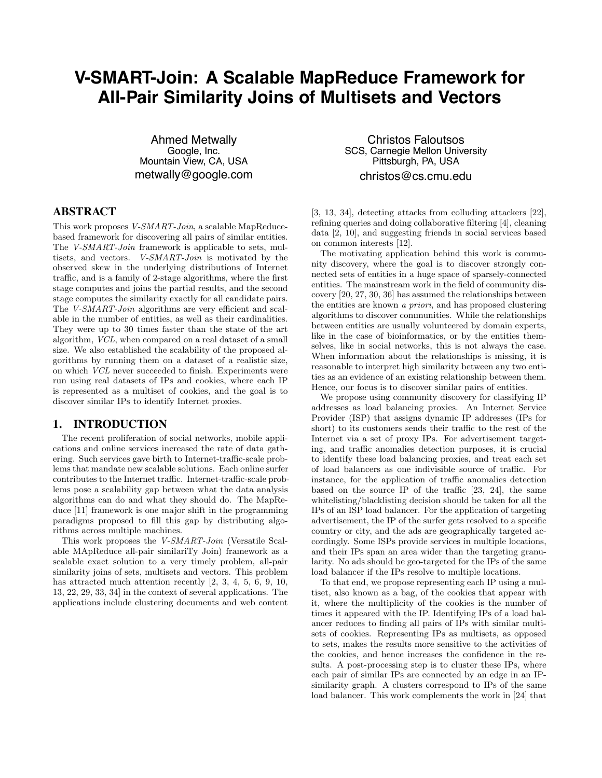# **V-SMART-Join: A Scalable MapReduce Framework for All-Pair Similarity Joins of Multisets and Vectors**

Ahmed Metwally Google, Inc. Mountain View, CA, USA metwally@google.com

# **ABSTRACT**

This work proposes V-SMART-Join, a scalable MapReducebased framework for discovering all pairs of similar entities. The *V-SMART-Join* framework is applicable to sets, multisets, and vectors. V-SMART-Join is motivated by the observed skew in the underlying distributions of Internet traffic, and is a family of 2-stage algorithms, where the first stage computes and joins the partial results, and the second stage computes the similarity exactly for all candidate pairs. The *V-SMART-Join* algorithms are very efficient and scalable in the number of entities, as well as their cardinalities. They were up to 30 times faster than the state of the art algorithm, VCL, when compared on a real dataset of a small size. We also established the scalability of the proposed algorithms by running them on a dataset of a realistic size, on which VCL never succeeded to finish. Experiments were run using real datasets of IPs and cookies, where each IP is represented as a multiset of cookies, and the goal is to discover similar IPs to identify Internet proxies.

## **1. INTRODUCTION**

The recent proliferation of social networks, mobile applications and online services increased the rate of data gathering. Such services gave birth to Internet-traffic-scale problems that mandate new scalable solutions. Each online surfer contributes to the Internet traffic. Internet-traffic-scale problems pose a scalability gap between what the data analysis algorithms can do and what they should do. The MapReduce [11] framework is one major shift in the programming paradigms proposed to fill this gap by distributing algorithms across multiple machines.

This work proposes the V-SMART-Join (Versatile Scalable MApReduce all-pair similariTy Join) framework as a scalable exact solution to a very timely problem, all-pair similarity joins of sets, multisets and vectors. This problem has attracted much attention recently [2, 3, 4, 5, 6, 9, 10, 13, 22, 29, 33, 34] in the context of several applications. The applications include clustering documents and web content

Christos Faloutsos SCS, Carnegie Mellon University Pittsburgh, PA, USA christos@cs.cmu.edu

[3, 13, 34], detecting attacks from colluding attackers [22], refining queries and doing collaborative filtering [4], cleaning data [2, 10], and suggesting friends in social services based on common interests [12].

The motivating application behind this work is community discovery, where the goal is to discover strongly connected sets of entities in a huge space of sparsely-connected entities. The mainstream work in the field of community discovery [20, 27, 30, 36] has assumed the relationships between the entities are known a priori, and has proposed clustering algorithms to discover communities. While the relationships between entities are usually volunteered by domain experts, like in the case of bioinformatics, or by the entities themselves, like in social networks, this is not always the case. When information about the relationships is missing, it is reasonable to interpret high similarity between any two entities as an evidence of an existing relationship between them. Hence, our focus is to discover similar pairs of entities.

We propose using community discovery for classifying IP addresses as load balancing proxies. An Internet Service Provider (ISP) that assigns dynamic IP addresses (IPs for short) to its customers sends their traffic to the rest of the Internet via a set of proxy IPs. For advertisement targeting, and traffic anomalies detection purposes, it is crucial to identify these load balancing proxies, and treat each set of load balancers as one indivisible source of traffic. For instance, for the application of traffic anomalies detection based on the source IP of the traffic [23, 24], the same whitelisting/blacklisting decision should be taken for all the IPs of an ISP load balancer. For the application of targeting advertisement, the IP of the surfer gets resolved to a specific country or city, and the ads are geographically targeted accordingly. Some ISPs provide services in multiple locations, and their IPs span an area wider than the targeting granularity. No ads should be geo-targeted for the IPs of the same load balancer if the IPs resolve to multiple locations.

To that end, we propose representing each IP using a multiset, also known as a bag, of the cookies that appear with it, where the multiplicity of the cookies is the number of times it appeared with the IP. Identifying IPs of a load balancer reduces to finding all pairs of IPs with similar multisets of cookies. Representing IPs as multisets, as opposed to sets, makes the results more sensitive to the activities of the cookies, and hence increases the confidence in the results. A post-processing step is to cluster these IPs, where each pair of similar IPs are connected by an edge in an IPsimilarity graph. A clusters correspond to IPs of the same load balancer. This work complements the work in [24] that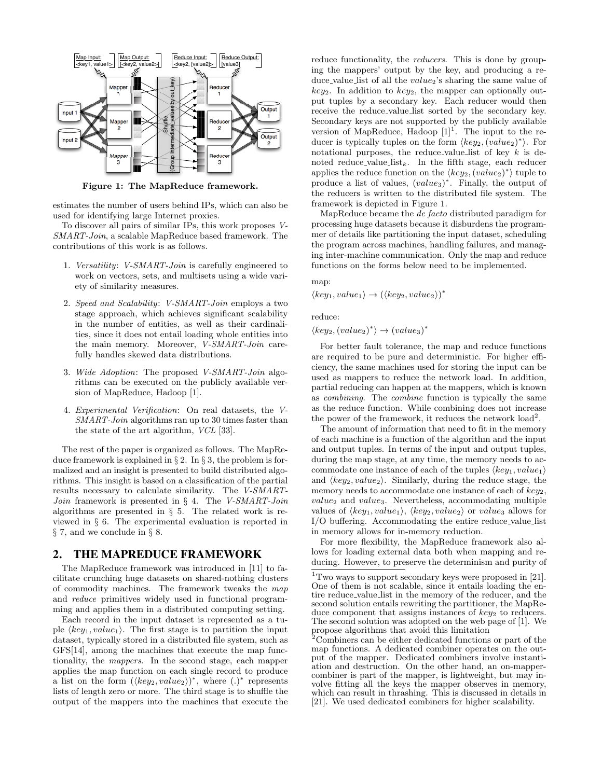

**Figure 1: The MapReduce framework.**

estimates the number of users behind IPs, which can also be used for identifying large Internet proxies.

To discover all pairs of similar IPs, this work proposes V-SMART-Join, a scalable MapReduce based framework. The contributions of this work is as follows.

- 1. Versatility: V-SMART-Join is carefully engineered to work on vectors, sets, and multisets using a wide variety of similarity measures.
- 2. Speed and Scalability: V-SMART-Join employs a two stage approach, which achieves significant scalability in the number of entities, as well as their cardinalities, since it does not entail loading whole entities into the main memory. Moreover, V-SMART-Join carefully handles skewed data distributions.
- 3. Wide Adoption: The proposed V-SMART-Join algorithms can be executed on the publicly available version of MapReduce, Hadoop [1].
- 4. Experimental Verification: On real datasets, the V-SMART-Join algorithms ran up to 30 times faster than the state of the art algorithm, VCL [33].

The rest of the paper is organized as follows. The MapReduce framework is explained in  $\S 2$ . In  $\S 3$ , the problem is formalized and an insight is presented to build distributed algorithms. This insight is based on a classification of the partial results necessary to calculate similarity. The V-SMART-Join framework is presented in § 4. The V-SMART-Join algorithms are presented in  $\S$  5. The related work is reviewed in § 6. The experimental evaluation is reported in § 7, and we conclude in § 8.

#### **2. THE MAPREDUCE FRAMEWORK**

The MapReduce framework was introduced in [11] to facilitate crunching huge datasets on shared-nothing clusters of commodity machines. The framework tweaks the map and reduce primitives widely used in functional programming and applies them in a distributed computing setting.

Each record in the input dataset is represented as a tuple  $\langle key_1, value_1 \rangle$ . The first stage is to partition the input<br>dataset, typically stored in a distributed file system, such as dataset, typically stored in a distributed file system, such as GFS[14], among the machines that execute the map functionality, the mappers. In the second stage, each mapper applies the map function on each single record to produce a list on the form  $(\langle key_2, value_2 \rangle)^*$ , where  $(.)^*$  represents<br>lists of length zero or more. The third stage is to shuffle the lists of length zero or more. The third stage is to shuffle the output of the mappers into the machines that execute the

reduce functionality, the *reducers*. This is done by grouping the mappers' output by the key, and producing a reduce\_value\_list of all the *value*<sub>2</sub>'s sharing the same value of *key*<sup>2</sup>. In addition to *key*<sup>2</sup>, the mapper can optionally output tuples by a secondary key. Each reducer would then receive the reduce value list sorted by the secondary key. Secondary keys are not supported by the publicly available version of MapReduce, Hadoop  $[1]^1$ . The input to the reducer is typically tuples on the form  $\langle key_2, (value_2)^* \rangle$ . For notational purposes, the reduce value list of key k is denotational purposes, the reduce value list of key *<sup>k</sup>* is denoted reduce\_value\_ $list_k$ . In the fifth stage, each reducer applies the reduce function on the  $\langle key_2, (value_2)^* \rangle$  tuple to produce a list of values  $(value_2)^*$ . Finally, the output of produce a list of values,  $(value_3)^*$ . Finally, the output of the reducers is written to the distributed file system. The the reducers is written to the distributed file system. The framework is depicted in Figure 1.

MapReduce became the de facto distributed paradigm for processing huge datasets because it disburdens the programmer of details like partitioning the input dataset, scheduling the program across machines, handling failures, and managing inter-machine communication. Only the map and reduce functions on the forms below need to be implemented.

#### map:

 $\langle key_1, value_1 \rangle \rightarrow (\langle key_2, value_2 \rangle)^*$ 

reduce:

 $\langle key_2, (value_2)^* \rangle \rightarrow (value_3)^*$ 

For better fault tolerance, the map and reduce functions are required to be pure and deterministic. For higher efficiency, the same machines used for storing the input can be used as mappers to reduce the network load. In addition, partial reducing can happen at the mappers, which is known as combining. The combine function is typically the same as the reduce function. While combining does not increase the power of the framework, it reduces the network  $\text{load}^2$ .

The amount of information that need to fit in the memory of each machine is a function of the algorithm and the input and output tuples. In terms of the input and output tuples, during the map stage, at any time, the memory needs to accommodate one instance of each of the tuples  $\langle key_1, value_1 \rangle$ <br>and  $\langle key_1, value_2 \rangle$ . Similarly, during the reduce stage, the and  $\langle key_2, value_2 \rangle$ . Similarly, during the reduce stage, the memory needs to accommodate one instance of each of keys memory needs to accommodate one instance of each of *key*<sup>2</sup>, *value*<sup>2</sup> and *value*<sup>3</sup>. Nevertheless, accommodating multiple values of  $\langle key_1, value_1 \rangle$ ,  $\langle key_2, value_2 \rangle$  or *value*<sub>3</sub> allows for  $I/O$  buffering Accommodating the entire reduce value list I/O buffering. Accommodating the entire reduce value list in memory allows for in-memory reduction.

For more flexibility, the MapReduce framework also allows for loading external data both when mapping and reducing. However, to preserve the determinism and purity of

<sup>2</sup>Combiners can be either dedicated functions or part of the map functions. A dedicated combiner operates on the output of the mapper. Dedicated combiners involve instantiation and destruction. On the other hand, an on-mappercombiner is part of the mapper, is lightweight, but may involve fitting all the keys the mapper observes in memory, which can result in thrashing. This is discussed in details in [21]. We used dedicated combiners for higher scalability.

<sup>&</sup>lt;sup>1</sup>Two ways to support secondary keys were proposed in [21]. One of them is not scalable, since it entails loading the entire reduce value list in the memory of the reducer, and the second solution entails rewriting the partitioner, the MapReduce component that assigns instances of  $key_2$  to reducers. The second solution was adopted on the web page of [1]. We propose algorithms that avoid this limitation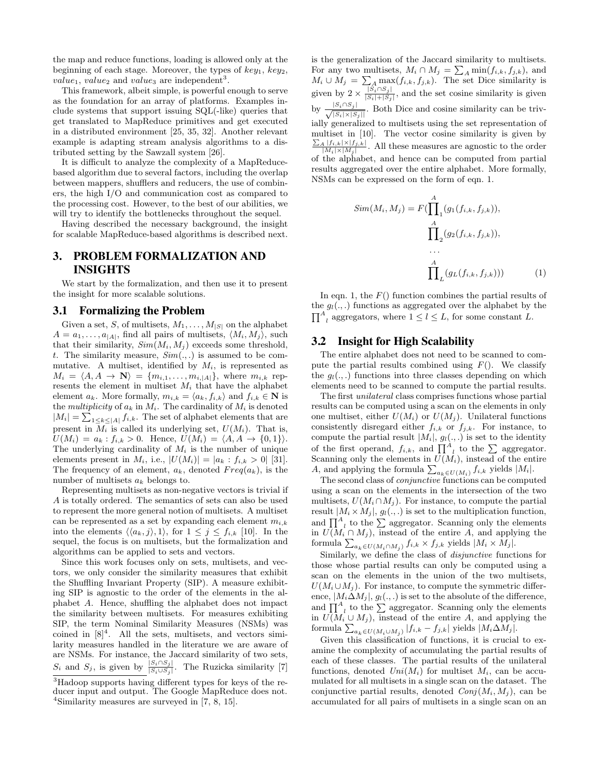the map and reduce functions, loading is allowed only at the beginning of each stage. Moreover, the types of *key*<sup>1</sup>, *key*<sup>2</sup>,  $value_1$ ,  $value_2$  and  $value_3$  are independent<sup>3</sup>.

This framework, albeit simple, is powerful enough to serve as the foundation for an array of platforms. Examples include systems that support issuing SQL(-like) queries that get translated to MapReduce primitives and get executed in a distributed environment [25, 35, 32]. Another relevant example is adapting stream analysis algorithms to a distributed setting by the Sawzall system [26].

It is difficult to analyze the complexity of a MapReducebased algorithm due to several factors, including the overlap between mappers, shufflers and reducers, the use of combiners, the high I/O and communication cost as compared to the processing cost. However, to the best of our abilities, we will try to identify the bottlenecks throughout the sequel.

Having described the necessary background, the insight for scalable MapReduce-based algorithms is described next.

# **3. PROBLEM FORMALIZATION AND INSIGHTS**

We start by the formalization, and then use it to present the insight for more scalable solutions.

#### **3.1 Formalizing the Problem**

Given a set, *S*, of multisets,  $M_1, \ldots, M_{|S|}$  on the alphabet  $A = a_1, \ldots, a_{|A|}$ , find all pairs of multisets,  $\langle M_i, M_j \rangle$ , such that their similarity  $Sim(M, M)$  exceeds some threshold that their similarity,  $Sim(M_i, M_j)$  exceeds some threshold, *t*. The similarity measure,  $Sim(.,.)$  is assumed to be commutative. A multiset, identified by  $M_i$ , is represented as  $M_i = \langle A, A \rightarrow \mathbf{N} \rangle = \{m_{i,1}, \ldots, m_{i,|A|}\},$  where  $m_{i,k}$  rep-<br>recents the element in multiset M, that have the alphabet resents the element in multiset  $M_i$  that have the alphabet element  $a_k$ . More formally,  $m_{i,k} = \langle a_k, f_{i,k} \rangle$  and  $f_{i,k} \in \mathbb{N}$  is the *multiplicity* of  $a_j$  in  $M$ . The cardinality of  $M$  is denoted the *multiplicity* of  $a_k$  in  $M_i$ . The cardinality of  $M_i$  is denoted  $|M_i| = \sum_{1 \le k \le |A|} f_{i,k}$ . The set of alphabet elements that are present in  $\overline{M_i}$  is called its underlying set,  $U(M_i)$ . That is,  $U(M_i) = a_k : f_{i,k} > 0$ . Hence,  $U(M_i) = \langle A, A \to \{0,1\} \rangle$ .<br>The underlying cardinality of M<sub>i</sub> is the number of unique The underlying cardinality of *<sup>M</sup><sup>i</sup>* is the number of unique elements present in  $M_i$ , i.e.,  $|U(M_i)| = |a_k : f_{i,k} > 0|$  [31]. The frequency of an element,  $a_k$ , denoted  $Freq(a_k)$ , is the number of multisets *<sup>a</sup><sup>k</sup>* belongs to.

Representing multisets as non-negative vectors is trivial if *A* is totally ordered. The semantics of sets can also be used to represent the more general notion of multisets. A multiset can be represented as a set by expanding each element  $m_{i,k}$ into the elements  $\langle \langle a_k, j \rangle, 1 \rangle$ , for  $1 \leq j \leq f_{i,k}$  [10]. In the sequel the focus is on multisets but the formalization and sequel, the focus is on multisets, but the formalization and algorithms can be applied to sets and vectors.

Since this work focuses only on sets, multisets, and vectors, we only consider the similarity measures that exhibit the Shuffling Invariant Property (SIP). A measure exhibiting SIP is agnostic to the order of the elements in the alphabet *A*. Hence, shuffling the alphabet does not impact the similarity between multisets. For measures exhibiting SIP, the term Nominal Similarity Measures (NSMs) was coined in  $[8]^4$ . All the sets, multisets, and vectors similarity measures handled in the literature we are aware of are NSMs. For instance, the Jaccard similarity of two sets,  $S_i$  and  $S_j$ , is given by  $\frac{|S_i \cap S_j|}{|S_i \cup S_j|}$ . The Ruzicka similarity [7]

is the generalization of the Jaccard similarity to multisets. For any two multisets,  $M_i \cap M_j = \sum_{A} \min(f_{i,k}, f_{j,k})$ , and  $M_i \cup M_j = \sum_{A} \max(f_{i,k}, f_{j,k})$ . The set Dice similarity is  $M_i \cup M_j = \sum_{A} \max(f_{i,k}, f_{j,k})$ . The set Dice similarity is given by  $2 \times \frac{|S_i \cap S_j|}{|S_i| + |S_j|}$ , and the set cosine similarity is given by  $\frac{|S_i \cap S_j|}{\sqrt{|S_i| \times |S_j|}}$ . Both Dice and cosine similarity can be trivially generalized to multisets using the set representation of multiset in [10]. The vector cosine similarity is given by  $\frac{\sum_{A} |f_{i,k}| \times |f_{j,k}|}{|M_i| \times |M_j|}$ . All these measures are agnostic to the order of the alphabet, and hence can be computed from partial results aggregated over the entire alphabet. More formally, NSMs can be expressed on the form of eqn. 1.

$$
Sim(M_i, M_j) = F(\prod_{1}^{A} (g_1(f_{i,k}, f_{j,k})),
$$

$$
\prod_{1}^{A} (g_2(f_{i,k}, f_{j,k})),
$$

$$
\dots
$$

$$
\prod_{L}^{A} (g_L(f_{i,k}, f_{j,k}))) \tag{1}
$$

In eqn. 1, the *F*() function combines the partial results of the  $g_l(.,.)$  functions as aggregated over the alphabet by the  $\prod_{l}^{A}$  aggregators, where  $1 \leq l \leq L$ , for some constant *L*.

## **3.2 Insight for High Scalability**

The entire alphabet does not need to be scanned to compute the partial results combined using  $F()$ . We classify the  $g_l(.,.)$  functions into three classes depending on which elements need to be scanned to compute the partial results.

The first unilateral class comprises functions whose partial results can be computed using a scan on the elements in only one multiset, either  $U(M_i)$  or  $U(M_j)$ . Unilateral functions consistently disregard either  $f_{i,k}$  or  $f_{j,k}$ . For instance, to compute the partial result  $|M_i|, g_l(., .)$  is set to the identity of the first operand,  $f_{i,k}$ , and  $\prod_{l=1}^{k}$  to the  $\sum$  aggregator.<br>Scanning only the elements in  $I/(M)$  instead of the entire Scanning only the elements in  $U(M_i)$ , instead of the entire *A*, and applying the formula  $\sum_{a_k \in U(M_i)} f_{i,k}$  yields  $|M_i|$ .<br>The second class of conjunctions functions can be computed

The second class of conjunctive functions can be computed using a scan on the elements in the intersection of the two multisets,  $U(M_i \cap M_j)$ . For instance, to compute the partial result  $|M_i \times M_j|$ ,  $g_l(.,.)$  is set to the multiplication function, and  $\prod_{l}^{A}$  to the  $\sum$  aggregator. Scanning only the elements in  $U(M_i \cap M_j)$ , instead of the entire *A*, and applying the  $\sum_{a_k \in U(M_i \cap M_j)} f_{i,k} \times f_{j,k}$  yields  $|M_i \times M_j|$ .<br>Similarly we define the close of disjunctive function

Similarly, we define the class of *disjunctive* functions for those whose partial results can only be computed using a scan on the elements in the union of the two multisets,  $U(M_i \cup M_j)$ . For instance, to compute the symmetric difference,  $|M_i \Delta M_i|$ ,  $g_l(.,.)$  is set to the absolute of the difference, and  $\prod_{l}^{A}$  to the  $\sum$  aggregator. Scanning only the elements in  $\widehat{U(M_i \cup M_j)}$ , instead of the entire *A*, and applying the  $\sum_{a_k \in U(M_i \cup M_j)} |f_{i,k} - f_{j,k}|$  yields  $|M_i \Delta M_j|$ .<br>Civen this eleccification of functions it is equal.

Given this classification of functions, it is crucial to examine the complexity of accumulating the partial results of each of these classes. The partial results of the unilateral functions, denoted  $Uni(M_i)$  for multiset  $M_i$ , can be accumulated for all multisets in a single scan on the dataset. The conjunctive partial results, denoted  $Conj(M_i, M_j)$ , can be accumulated for all pairs of multisets in a single scan on an

<sup>3</sup>Hadoop supports having different types for keys of the reducer input and output. The Google MapReduce does not. <sup>4</sup>Similarity measures are surveyed in  $[7, 8, 15]$ .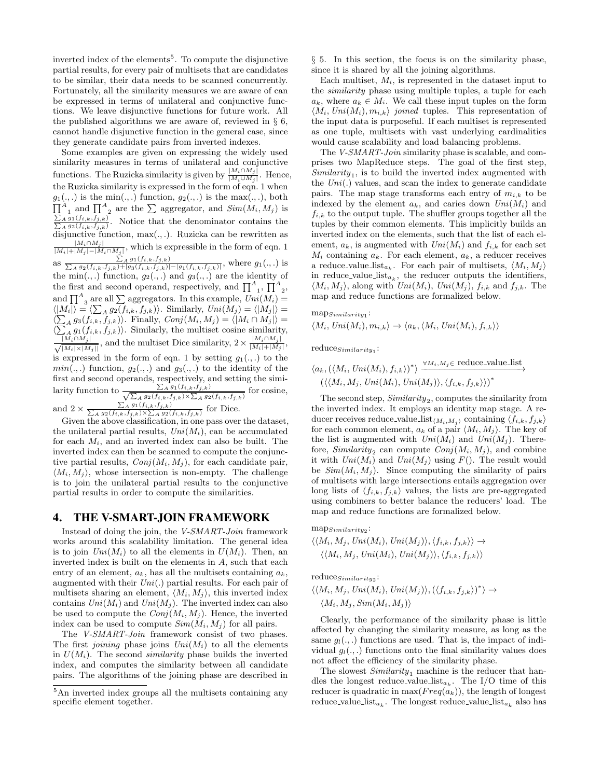inverted index of the elements<sup>5</sup>. To compute the disjunctive partial results, for every pair of multisets that are candidates to be similar, their data needs to be scanned concurrently. Fortunately, all the similarity measures we are aware of can be expressed in terms of unilateral and conjunctive functions. We leave disjunctive functions for future work. All the published algorithms we are aware of, reviewed in § 6, cannot handle disjunctive function in the general case, since they generate candidate pairs from inverted indexes.

Some examples are given on expressing the widely used similarity measures in terms of unilateral and conjunctive functions. The Ruzicka similarity is given by  $\frac{|M_i \cap M_j|}{|M_i \cup M_j|}$ . Hence, the Ruzicka similarity is expressed in the form of eqn. 1 when  $g_1(.,.)$  is the min(.,.) function,  $g_2(.,.)$  is the max(.,.), both  $\prod_{i=1}^{n}$  and  $\prod_{i=1}^{n}$  are the  $\sum$  aggregator, and  $Sim(M_i, M_j)$  is  $\frac{\sum_{A} g_1(f_{i,k}, f_{j,k})}{\sum_{A} g_2(f_{i,k}, f_{j,k})}$ . Notice that the denominator contains the disjunctive function, max(.,.). Ruzicka can be rewritten as  $\frac{|M_i \cap M_j|}{|M_i| + |M_j| - |M_i \cap M_j|}$ , which is expressible in the form of eqn. 1 as  $\frac{\sum_{A} g_1(f_{i,k}, f_{j,k})}{\sum_{A} g_2(f_{i,k}, f_{j,k}) + |g_3(f_{i,k}, f_{j,k})| - |g_1(f_{i,k}, f_{j,k})|}$ , where  $g_1(.,.)$  is the min(., .) function,  $g_2(.,.)$  and  $g_3(.,.)$  are the identity of the first and second operand, respectively, and  $\prod_{1}^{A}$ ,  $\prod_{2}^{A}$ , and  $\prod_{i=1}^{A}$  are all  $\sum_{i=1}^{A}$  aggregators. In this example,  $Uni(M_i) =$ <br> $\sum_{i=1}^{B} (M_i \cdot \sum_{i=1}^{B} (f_i \cdot f_i \cdot \cdot))$ . Similarly,  $Ini(M_i) = \sum_{i=1}^{B} (M_i \cdot \sum_{i=1}^{B} (f_i \cdot f_i \cdot \cdot))$  $\langle |M_i| \rangle = \langle \sum$  $\langle |M_i| \rangle = \langle \sum_A g_2(f_{i,k}, f_{j,k}) \rangle$ . Similarly,  $Uni(M_j) = \langle |M_j| \rangle = \langle \sum_A g_3(f_{i,k}, f_{j,k}) \rangle$ . Finally,  $Conj(M_i, M_j) = \langle |M_i \cap M_j| \rangle = \langle \sum_A g_1(f_{i,k}, f_{j,k}) \rangle$ . Similarly, the multiset cosine similarity,  $\langle \sum_{A} g_1(f_{i,k}, f_{j,k}) \rangle$ . Similarly, the multiset cosine similarity,  $\frac{|M_i \cap M_j|}{\sqrt{|M_i| \times |M_j||}}$ , and the multiset Dice similarity,  $2 \times \frac{|M_i \cap M_j|}{|M_i| + |M_j|}$ , is expressed in the form of eqn. 1 by setting  $g_1(.,.)$  to the  $min(.,.)$  function,  $g_2(.,.)$  and  $g_3(.,.)$  to the identity of the  $min(.,.)$  function,  $g_2(.,.)$  and  $g_3(.,.)$  to the identity of the first and second operands, respectively, and setting the similarity function to  $\frac{\sum_A g_1(f_{i,k}, f_{j,k})}{\sqrt{\sum_A g_2(f_{i,k}, f_{j,k}) \times \sum_A g_2(f_{i,k}, f_{j,k})}}$  for cosine, and  $2 \times \frac{\sum_{A} g_1(f_{i,k}, f_{j,k})}{\sum_{A} g_2(f_{i,k}, f_{j,k}) \times \sum_{A} g_2(f_{i,k}, f_{j,k})}$  for Dice.

Given the above classification, in one pass over the dataset, the unilateral partial results, Uni(*M<sup>i</sup>*), can be accumulated for each *M<sup>i</sup>*, and an inverted index can also be built. The inverted index can then be scanned to compute the conjunctive partial results,  $Conj(M_i, M_j)$ , for each candidate pair,  $\langle M_i, M_j \rangle$ , whose intersection is non-empty. The challenge<br>is to join the unilateral partial results to the conjunctive is to join the unilateral partial results to the conjunctive partial results in order to compute the similarities.

## **4. THE V-SMART-JOIN FRAMEWORK**

Instead of doing the join, the V-SMART-Join framework works around this scalability limitation. The general idea is to join  $Uni(M_i)$  to all the elements in  $U(M_i)$ . Then, an inverted index is built on the elements in *A*, such that each entry of an element,  $a_k$ , has all the multisets containing  $a_k$ , augmented with their Uni(*.*) partial results. For each pair of multisets sharing an element,  $\langle M_i, M_j \rangle$ , this inverted index<br>contains  $\text{Im}(M)$  and  $\text{Im}(M)$ . The inverted index can also contains  $Uni(M_i)$  and  $Uni(M_j)$ . The inverted index can also be used to compute the  $Conj(M_i, M_j)$ . Hence, the inverted index can be used to compute  $Sim(M_i, M_j)$  for all pairs.

The *V-SMART-Join* framework consist of two phases. The first *joining* phase joins  $Uni(M_i)$  to all the elements in  $U(M_i)$ . The second *similarity* phase builds the inverted index, and computes the similarity between all candidate pairs. The algorithms of the joining phase are described in

§ 5. In this section, the focus is on the similarity phase, since it is shared by all the joining algorithms.

Each multiset,  $M_i$ , is represented in the dataset input to the similarity phase using multiple tuples, a tuple for each  $a_k$ , where  $a_k \in M_i$ . We call these input tuples on the form  $\langle M_i, Uni(M_i), m_{i,k} \rangle$  *joined* tuples. This representation of the input data is purposeful. If each multiset is represented the input data is purposeful. If each multiset is represented as one tuple, multisets with vast underlying cardinalities would cause scalability and load balancing problems.

The V-SMART-Join similarity phase is scalable, and comprises two MapReduce steps. The goal of the first step,  $Similarly<sub>1</sub>$ , is to build the inverted index augmented with the Uni(*.*) values, and scan the index to generate candidate pairs. The map stage transforms each entry of  $m_{i,k}$  to be indexed by the element  $a_k$ , and caries down  $Uni(M_i)$  and  $f_{i,k}$  to the output tuple. The shuffler groups together all the tuples by their common elements. This implicitly builds an inverted index on the elements, such that the list of each element,  $a_k$ , is augmented with  $Uni(M_i)$  and  $f_{i,k}$  for each set  $M_i$  containing  $a_k$ . For each element,  $a_k$ , a reducer receives a reduce value  $list_{a_k}$ . For each pair of multisets,  $\langle M_i, M_j \rangle$ <br>in reduce value list the reducer outputs the identifiers in reduce value list<sub> $a_k$ </sub>, the reducer outputs the identifiers,  $\langle M_i, M_j \rangle$ , along with  $Uni(M_i), Uni(M_j), f_{i,k}$  and  $f_{j,k}$ . The map and reduce functions are formalized below. map and reduce functions are formalized below.

$$
{\tt map}_{Similarity_1} \colon
$$

 $\langle M_i, Uni(M_i), m_{i,k} \rangle \rightarrow \langle a_k, \langle M_i, Uni(M_i), f_{i,k} \rangle \rangle$ 

reduce*Similarity*<sup>1</sup> :

$$
\langle a_k, (\langle M_i, Uni(M_i), f_{i,k} \rangle)^* \rangle \xrightarrow{\forall M_i, M_j \in \text{reduce_value\_list}} (\langle \langle M_i, M_j, Uni(M_i), Uni(M_j) \rangle, \langle f_{i,k}, f_{j,k} \rangle))^*
$$

The second step,  $Similarly_2$ , computes the similarity from the inverted index. It employs an identity map stage. A reducer receives reduce value  $\text{list}_{\langle M_i, M_j \rangle}$  containing  $\langle f_{i,k}, f_{j,k} \rangle$ <br>for each common element,  $a_i$ , of a pair  $\langle M, M \rangle$ . The key of for each common element,  $a_k$  of a pair  $\langle M_i, M_j \rangle$ . The key of the list is augmented with  $\text{Im}(M)$  and  $\text{Im}(M)$ . There the list is augmented with  $Uni(M_i)$  and  $Uni(M_j)$ . Therefore, *Similarity*<sub>2</sub> can compute  $Conj(M_i, M_j)$ , and combine it with  $Uni(M_i)$  and  $Uni(M_i)$  using  $F()$ . The result would be  $Sim(M_i, M_j)$ . Since computing the similarity of pairs of multisets with large intersections entails aggregation over long lists of  $\langle f_{i,k}, f_{j,k} \rangle$  values, the lists are pre-aggregated<br>using combiners to better balance the reducers' load. The using combiners to better balance the reducers' load. The map and reduce functions are formalized below.

map*Similarity*<sup>2</sup> :

$$
\langle \langle M_i, M_j, Uni(M_i), Uni(M_j) \rangle, \langle f_{i,k}, f_{j,k} \rangle \rangle \rightarrow \langle \langle M_i, M_j, Uni(M_i), Uni(M_j) \rangle, \langle f_{i,k}, f_{j,k} \rangle \rangle
$$

reduce*Similarity*<sup>2</sup> :

$$
\langle\langle M_i, M_j, Uni(M_i), Uni(M_j)\rangle, (\langle f_{i,k}, f_{j,k}\rangle)^*\rangle \rightarrow \langle M_i, M_j, Sim(M_i, M_j)\rangle
$$

Clearly, the performance of the similarity phase is little affected by changing the similarity measure, as long as the same  $g_l(.,.)$  functions are used. That is, the impact of individual  $q_l(.,.)$  functions onto the final similarity values does not affect the efficiency of the similarity phase.

The slowest  $Similarly_1$  machine is the reducer that handles the longest reduce value list<sub>ak</sub>. The I/O time of this reducer is quadratic in  $\max(Freq(a_k))$ , the length of longest reduce value list<sub>a</sub><sub>*k*</sub>. The longest reduce value list<sub>a</sub><sub>*k*</sub> also has

<sup>5</sup>An inverted index groups all the multisets containing any specific element together.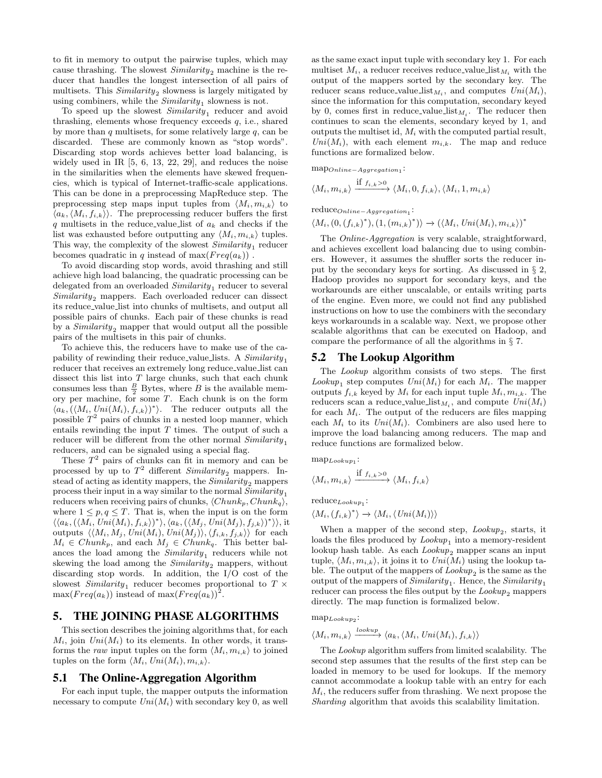to fit in memory to output the pairwise tuples, which may cause thrashing. The slowest  $Similarly_2$  machine is the reducer that handles the longest intersection of all pairs of multisets. This  $Similarity_2$  slowness is largely mitigated by using combiners, while the  $Similarity_1$  slowness is not.

To speed up the slowest  $Similarly_1$  reducer and avoid thrashing, elements whose frequency exceeds *q*, i.e., shared by more than *q* multisets, for some relatively large *q*, can be discarded. These are commonly known as "stop words". Discarding stop words achieves better load balancing, is widely used in IR [5, 6, 13, 22, 29], and reduces the noise in the similarities when the elements have skewed frequencies, which is typical of Internet-traffic-scale applications. This can be done in a preprocessing MapReduce step. The preprocessing step maps input tuples from  $\langle M_i, m_{i,k} \rangle$  to  $\langle a_i \rangle / M_i$ ,  $f_i, \rangle$  The preprocessing reducer buffers the first  $\langle a_k, \langle M_i, f_{i,k} \rangle \rangle$ . The preprocessing reducer buffers the first  $a_k$  multisets in the reduce value list of  $a_k$  and checks if the *<sup>q</sup>* multisets in the reduce value list of *<sup>a</sup><sup>k</sup>* and checks if the list was exhausted before outputting any  $\langle M_i, m_{i,k} \rangle$  tuples.<br>This way the complexity of the slowest *Similarity*, reducer This way, the complexity of the slowest  $Similarly_1$  reducer becomes quadratic in *q* instead of  $max(Freq(a_k))$ .

To avoid discarding stop words, avoid thrashing and still achieve high load balancing, the quadratic processing can be delegated from an overloaded  $Similarity_1$  reducer to several  $Similarly_2$  mappers. Each overloaded reducer can dissect its reduce value list into chunks of multisets, and output all possible pairs of chunks. Each pair of these chunks is read by a  $Similarly_2$  mapper that would output all the possible pairs of the multisets in this pair of chunks.

To achieve this, the reducers have to make use of the capability of rewinding their reduce value lists. A  $Similarly_1$ reducer that receives an extremely long reduce value list can dissect this list into *T* large chunks, such that each chunk<br>consumes less than  $\frac{B}{2}$  Bytes, where *B* is the available mem-<br>ory per machine, for some *T*. Each chunk is on the form ory per machine, for some *T*. Each chunk is on the form  $\langle a_k, (\langle M_i, Uni(M_i), f_{i,k} \rangle)^* \rangle$ . The reducer outputs all the possible  $T^2$  pairs of chunks in a nested loop manner which possible  $T^2$  pairs of chunks in a nested loop manner, which entails rewinding the input *T* times. The output of such a reducer will be different from the other normal  $Similarly_1$ reducers, and can be signaled using a special flag.

These  $T<sup>2</sup>$  pairs of chunks can fit in memory and can be processed by up to  $T^2$  different Similarity<sub>2</sub> mappers. Instead of acting as identity mappers, the  $Similarly_2$  mappers process their input in a way similar to the normal  $Similarly_1$ reducers when receiving pairs of chunks,  $\langle Chunk_p, Chunk_q \rangle$ , where  $1 \leq p, q \leq T$ . That is, when the input is on the form where  $1 \leq p, q \leq T$ . That is, when the input is on the form  $\langle \langle a_k, (\langle M_i, Uni(M_i), f_{i,k} \rangle)^* \rangle, \langle a_k, (\langle M_j, Uni(M_j), f_{j,k} \rangle)^* \rangle \rangle,$  it<br>outputs  $\langle \langle M, M, Jin(M, N, lin(M, M), (f_{i,j}, f_{i,j}) \rangle \rangle$  for each outputs  $\langle M_i, M_j, Uni(M_i), Uni(M_j)\rangle, \langle f_{i,k}, f_{j,k}\rangle \rangle$  for each  $M \in Chunk$  This better ball  $M_i \in Chunk_p$ , and each  $M_j \in Chunk_q$ . This better balances the load among the  $Similarity_{1}$  reducers while not skewing the load among the  $Similarity_2$  mappers, without discarding stop words. In addition, the I/O cost of the slowest Similarity<sub>1</sub> reducer becomes proportional to  $T \times$  $max(Freq(a_k))$  instead of  $max(Freq(a_k))^2$ .

## **5. THE JOINING PHASE ALGORITHMS**

This section describes the joining algorithms that, for each  $M_i$ , join  $Uni(M_i)$  to its elements. In other words, it transforms the raw input tuples on the form  $\langle M_i, m_{i,k} \rangle$  to joined<br>tuples on the form  $\langle M_i, Im_i \rangle$   $m_i$ , tuples on the form  $\langle M_i, Uni(M_i), m_{i,k} \rangle$ .

#### **5.1 The Online-Aggregation Algorithm**

For each input tuple, the mapper outputs the information necessary to compute  $Uni(M_i)$  with secondary key 0, as well as the same exact input tuple with secondary key 1. For each multiset  $M_i$ , a reducer receives reduce value list<sub> $M_i$ </sub> with the output of the mappers sorted by the secondary key. The reducer scans reduce value list $M_i$ , and computes  $Uni(M_i)$ , since the information for this computation, secondary keyed by 0, comes first in reduce-value-list<sub> $M_i$ </sub>. The reducer then continues to scan the elements, secondary keyed by 1, and outputs the multiset id, *<sup>M</sup><sup>i</sup>* with the computed partial result, Uni( $M_i$ ), with each element  $m_{i,k}$ . The map and reduce functions are formalized below.

$$
{\rm map}_{Online-Aggregation_1} \colon
$$

$$
\langle M_i, m_{i,k} \rangle \xrightarrow{\text{if } f_{i,k} > 0} \langle M_i, 0, f_{i,k} \rangle, \langle M_i, 1, m_{i,k} \rangle
$$

reduce*Online*−*Aggregation*<sup>1</sup> :

 $\langle M_i, (0, (f_{i,k})^*), (1, (m_{i,k})^*) \rangle \rightarrow (\langle M_i, Uni(M_i), m_{i,k} \rangle)^*$ 

The *Online-Aggregation* is very scalable, straightforward, and achieves excellent load balancing due to using combiners. However, it assumes the shuffler sorts the reducer input by the secondary keys for sorting. As discussed in § 2, Hadoop provides no support for secondary keys, and the workarounds are either unscalable, or entails writing parts of the engine. Even more, we could not find any published instructions on how to use the combiners with the secondary keys workarounds in a scalable way. Next, we propose other scalable algorithms that can be executed on Hadoop, and compare the performance of all the algorithms in § 7.

#### **5.2 The Lookup Algorithm**

The Lookup algorithm consists of two steps. The first Lookup<sub>1</sub> step computes  $Uni(M_i)$  for each  $M_i$ . The mapper outputs  $f_{i,k}$  keyed by  $M_i$  for each input tuple  $M_i, m_{i,k}$ . The reducers scan a reduce value list  $M_i$ , and compute  $Uni(M_i)$ for each *M<sup>i</sup>*. The output of the reducers are files mapping each  $M_i$  to its  $Uni(M_i)$ . Combiners are also used here to improve the load balancing among reducers. The map and reduce functions are formalized below.

map*Lookup*<sup>1</sup> :

$$
\langle M_i, m_{i,k} \rangle \xrightarrow{\text{if } f_{i,k} > 0} \langle M_i, f_{i,k} \rangle
$$

reduce*Lookup*<sup>1</sup> :

 $\langle M_i, (f_{i,k})^* \rangle \rightarrow \langle M_i, \langle Uni(M_i) \rangle \rangle$ 

When a mapper of the second step,  $Lookup_2$ , starts, it loads the files produced by  $Lookup_1$  into a memory-resident lookup hash table. As each  $\mathit{Lookup}_2$  mapper scans an input tuple,  $\langle M_i, m_{i,k} \rangle$ , it joins it to  $Uni(M_i)$  using the lookup ta-<br>ble. The output of the manners of *Lookup*, is the same as the ble. The output of the mappers of  $Lookup_2$  is the same as the output of the mappers of  $Similarly_1$ . Hence, the  $Similarly_1$ reducer can process the files output by the  $Lookup_2$  mappers directly. The map function is formalized below.

map*Lookup*<sup>2</sup> :

 $\langle M_i, m_{i,k} \rangle \xrightarrow{lookup} \langle a_k, \langle M_i, Uni(M_i), f_{i,k} \rangle \rangle$ 

The Lookup algorithm suffers from limited scalability. The second step assumes that the results of the first step can be loaded in memory to be used for lookups. If the memory cannot accommodate a lookup table with an entry for each  $M_i$ , the reducers suffer from thrashing. We next propose the Sharding algorithm that avoids this scalability limitation.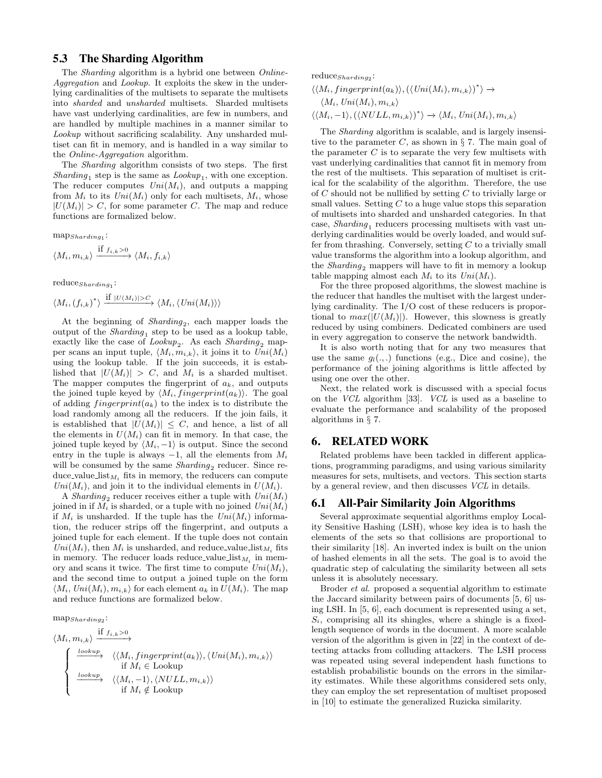## **5.3 The Sharding Algorithm**

The *Sharding* algorithm is a hybrid one between *Online*-Aggregation and Lookup. It exploits the skew in the underlying cardinalities of the multisets to separate the multisets into sharded and unsharded multisets. Sharded multisets have vast underlying cardinalities, are few in numbers, and are handled by multiple machines in a manner similar to Lookup without sacrificing scalability. Any unsharded multiset can fit in memory, and is handled in a way similar to the Online-Aggregation algorithm.

The Sharding algorithm consists of two steps. The first Sharding<sub>1</sub> step is the same as  $Lookup_1$ , with one exception. The reducer computes Uni(*M<sup>i</sup>*), and outputs a mapping from  $M_i$  to its  $Uni(M_i)$  only for each multisets,  $M_i$ , whose  $|U(M_i)| > C$ , for some parameter *C*. The map and reduce functions are formalized below.

map*Sharding*<sup>1</sup> :

$$
\langle M_i, m_{i,k} \rangle \xrightarrow{\text{if } f_{i,k} > 0} \langle M_i, f_{i,k} \rangle
$$

reduce*Sharding*<sup>1</sup> :

$$
\langle M_i, (f_{i,k})^* \rangle \xrightarrow{\text{if } |U(M_i)| > C} \langle M_i, \langle \text{Uni}(M_i) \rangle \rangle
$$

At the beginning of  $Sharding_2$ , each mapper loads the output of the *Sharding*<sub>1</sub> step to be used as a lookup table, exactly like the case of  $Looking_2$ . As each  $Sharding_2$  mapper scans an input tuple,  $\langle M_i, m_{i,k} \rangle$ , it joins it to  $Uni(M_i)$ <br>using the lookup table. If the join succeeds it is estabusing the lookup table. If the join succeeds, it is established that  $|U(M_i)| > C$ , and  $M_i$  is a sharded multiset. The mapper computes the fingerprint of *a<sup>k</sup>*, and outputs the joined tuple keyed by  $\langle M_i, fingerprint(a_k) \rangle$ . The goal<br>of adding *fingerprint*(*a*<sub>*k*</sub>) to the index is to distribute the of adding  $fingerprint(a_k)$  to the index is to distribute the load randomly among all the reducers. If the join fails, it is established that  $|U(M_i)| \leq C$ , and hence, a list of all the elements in  $U(M_i)$  can fit in memory. In that case, the joined tuple keyed by  $\langle M_i, -1 \rangle$  is output. Since the second entry in the tuple is always  $-1$  all the elements from M entry in the tuple is always  $-1$ , all the elements from  $M_i$ will be consumed by the same  $Sharding_2$  reducer. Since reduce value  $\text{list}_{M_i}$  fits in memory, the reducers can compute Uni( $M_i$ ), and join it to the individual elements in  $U(M_i)$ .

A *Sharding*<sub>2</sub> reducer receives either a tuple with  $Uni(M_i)$ joined in if  $M_i$  is sharded, or a tuple with no joined  $Uni(M_i)$ if  $M_i$  is unsharded. If the tuple has the  $Uni(M_i)$  information, the reducer strips off the fingerprint, and outputs a joined tuple for each element. If the tuple does not contain  $Uni(M<sub>i</sub>)$ , then  $M<sub>i</sub>$  is unsharded, and reduce value list<sub> $M<sub>i</sub>$ </sub> fits in memory. The reducer loads reduce value list  $M_i$  in memory and scans it twice. The first time to compute  $Uni(M_i)$ , and the second time to output a joined tuple on the form  $\langle M_i, Uni(M_i), m_{i,k} \rangle$  for each element  $a_k$  in  $U(M_i)$ . The map and reduce functions are formalized below and reduce functions are formalized below.

map*Sharding*<sup>2</sup> :

$$
\langle M_i, m_{i,k} \rangle \xrightarrow{\text{if } f_{i,k} > 0} \langle \langle M_i, \text{fingerprint}(a_k) \rangle, \langle \text{Uni}(M_i), m_{i,k} \rangle \rangle
$$
\n
$$
\begin{cases}\n\frac{\text{lookup}}{\text{if } M_i \in \text{Looking}} \\
\xrightarrow{\text{lookup}} & \langle \langle M_i, -1 \rangle, \langle \text{NULL}, m_{i,k} \rangle \rangle \\
\quad \text{if } M_i \notin \text{Looking}\n\end{cases}
$$

reduce*Sharding*<sup>2</sup> :

$$
\langle \langle M_i, fingerprint(a_k) \rangle, (\langle Uni(M_i), m_{i,k} \rangle)^* \rangle \rightarrow \langle M_i, Uni(M_i), m_{i,k} \rangle
$$
  

$$
\langle \langle M_i, Uni(M_i), m_{i,k} \rangle \rangle \rightarrow \langle M_i, Uni(M_i), m_{i,k} \rangle
$$

The Sharding algorithm is scalable, and is largely insensitive to the parameter  $C$ , as shown in  $\S 7$ . The main goal of the parameter *C* is to separate the very few multisets with vast underlying cardinalities that cannot fit in memory from the rest of the multisets. This separation of multiset is critical for the scalability of the algorithm. Therefore, the use of *C* should not be nullified by setting *C* to trivially large or small values. Setting *C* to a huge value stops this separation of multisets into sharded and unsharded categories. In that case,  $Sharding_1$  reducers processing multisets with vast underlying cardinalities would be overly loaded, and would suffer from thrashing. Conversely, setting *C* to a trivially small value transforms the algorithm into a lookup algorithm, and the Sharding<sub>2</sub> mappers will have to fit in memory a lookup table mapping almost each  $M_i$  to its  $Uni(M_i)$ .

For the three proposed algorithms, the slowest machine is the reducer that handles the multiset with the largest underlying cardinality. The I/O cost of these reducers is proportional to  $max(|U(M_i)|)$ . However, this slowness is greatly reduced by using combiners. Dedicated combiners are used in every aggregation to conserve the network bandwidth.

It is also worth noting that for any two measures that use the same  $g_l(.,.)$  functions (e.g., Dice and cosine), the performance of the joining algorithms is little affected by using one over the other.

Next, the related work is discussed with a special focus on the VCL algorithm [33]. VCL is used as a baseline to evaluate the performance and scalability of the proposed algorithms in § 7.

#### **6. RELATED WORK**

Related problems have been tackled in different applications, programming paradigms, and using various similarity measures for sets, multisets, and vectors. This section starts by a general review, and then discusses VCL in details.

# **6.1 All-Pair Similarity Join Algorithms**

Several approximate sequential algorithms employ Locality Sensitive Hashing (LSH), whose key idea is to hash the elements of the sets so that collisions are proportional to their similarity [18]. An inverted index is built on the union of hashed elements in all the sets. The goal is to avoid the quadratic step of calculating the similarity between all sets unless it is absolutely necessary.

Broder et al. proposed a sequential algorithm to estimate the Jaccard similarity between pairs of documents [5, 6] using LSH. In [5, 6], each document is represented using a set,  $S_i$ , comprising all its shingles, where a shingle is a fixedlength sequence of words in the document. A more scalable version of the algorithm is given in [22] in the context of detecting attacks from colluding attackers. The LSH process was repeated using several independent hash functions to establish probabilistic bounds on the errors in the similarity estimates. While these algorithms considered sets only, they can employ the set representation of multiset proposed in [10] to estimate the generalized Ruzicka similarity.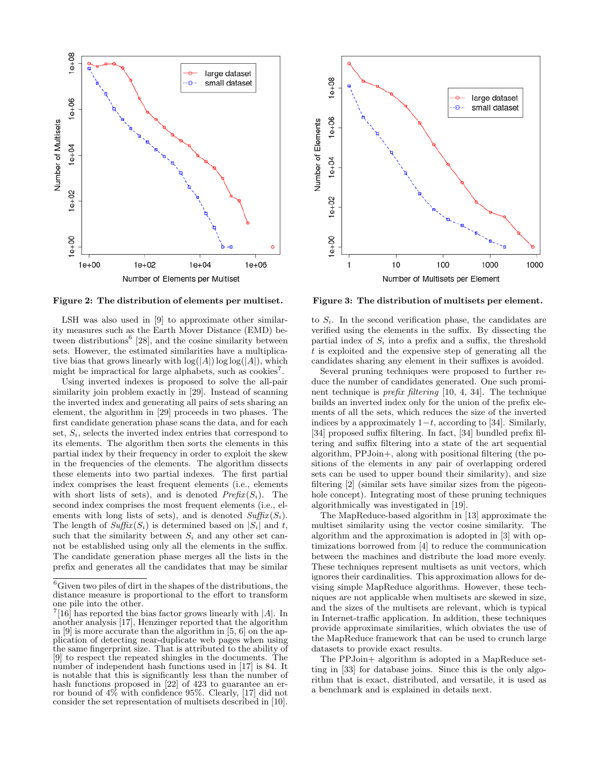

**Figure 2: The distribution of elements per multiset. Figure 3: The distribution of multisets per element.**

LSH was also used in [9] to approximate other similarity measures such as the Earth Mover Distance (EMD) between distributions<sup>6</sup> [28], and the cosine similarity between sets. However, the estimated similarities have a multiplicative bias that grows linearly with  $log(|A|)$  log  $log(|A|)$ , which might be impractical for large alphabets, such as cookies<sup>7</sup>.

Using inverted indexes is proposed to solve the all-pair similarity join problem exactly in [29]. Instead of scanning the inverted index and generating all pairs of sets sharing an element, the algorithm in [29] proceeds in two phases. The first candidate generation phase scans the data, and for each set,  $S_i$ , selects the inverted index entries that correspond to its elements. The algorithm then sorts the elements in this partial index by their frequency in order to exploit the skew in the frequencies of the elements. The algorithm dissects these elements into two partial indexes. The first partial index comprises the least frequent elements (i.e., elements with short lists of sets), and is denoted  $Prefix(S_i)$ . The second index comprises the most frequent elements (i.e., elements with long lists of sets), and is denoted  $\text{Suffix}(S_i)$ . The length of  $Suffix(S_i)$  is determined based on  $|S_i|$  and *t*, such that the similarity between  $S_i$  and any other set cannot be established using only all the elements in the suffix. The candidate generation phase merges all the lists in the prefix and generates all the candidates that may be similar



to  $S_i$ . In the second verification phase, the candidates are verified using the elements in the suffix. By dissecting the partial index of  $S_i$  into a prefix and a suffix, the threshold *t* is exploited and the expensive step of generating all the candidates sharing any element in their suffixes is avoided.

Several pruning techniques were proposed to further reduce the number of candidates generated. One such prominent technique is prefix filtering [10, 4, 34]. The technique builds an inverted index only for the union of the prefix elements of all the sets, which reduces the size of the inverted indices by a approximately  $1-t$ , according to [34]. Similarly, [34] proposed suffix filtering. In fact, [34] bundled prefix filtering and suffix filtering into a state of the art sequential algorithm, PPJoin+, along with positional filtering (the positions of the elements in any pair of overlapping ordered sets can be used to upper bound their similarity), and size filtering [2] (similar sets have similar sizes from the pigeonhole concept). Integrating most of these pruning techniques algorithmically was investigated in [19].

The MapReduce-based algorithm in [13] approximate the multiset similarity using the vector cosine similarity. The algorithm and the approximation is adopted in [3] with optimizations borrowed from [4] to reduce the communication between the machines and distribute the load more evenly. These techniques represent multisets as unit vectors, which ignores their cardinalities. This approximation allows for devising simple MapReduce algorithms. However, these techniques are not applicable when multisets are skewed in size, and the sizes of the multisets are relevant, which is typical in Internet-traffic application. In addition, these techniques provide approximate similarities, which obviates the use of the MapReduce framework that can be used to crunch large datasets to provide exact results.

The PPJoin+ algorithm is adopted in a MapReduce setting in [33] for database joins. Since this is the only algorithm that is exact, distributed, and versatile, it is used as a benchmark and is explained in details next.

 ${}^{6}$ Given two piles of dirt in the shapes of the distributions, the distance measure is proportional to the effort to transform one pile into the other.

 $7[16]$  has reported the bias factor grows linearly with  $|A|$ . In another analysis [17], Henzinger reported that the algorithm in [9] is more accurate than the algorithm in [5, 6] on the application of detecting near-duplicate web pages when using the same fingerprint size. That is attributed to the ability of [9] to respect the repeated shingles in the documents. The number of independent hash functions used in [17] is 84. It is notable that this is significantly less than the number of hash functions proposed in [22] of 423 to guarantee an error bound of 4% with confidence 95%. Clearly, [17] did not consider the set representation of multisets described in [10].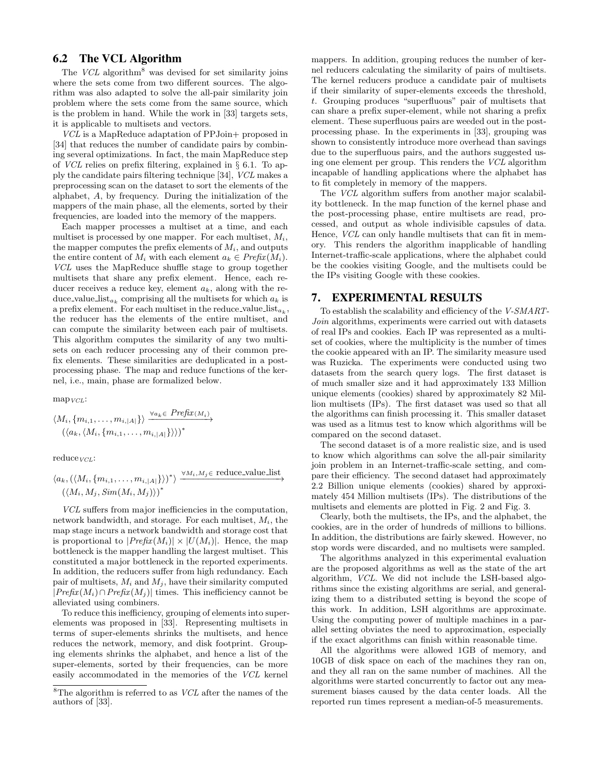## **6.2 The VCL Algorithm**

The  $VCL$  algorithm<sup>8</sup> was devised for set similarity joins where the sets come from two different sources. The algorithm was also adapted to solve the all-pair similarity join problem where the sets come from the same source, which is the problem in hand. While the work in [33] targets sets, it is applicable to multisets and vectors.

VCL is a MapReduce adaptation of PPJoin+ proposed in [34] that reduces the number of candidate pairs by combining several optimizations. In fact, the main MapReduce step of *VCL* relies on prefix filtering, explained in  $\S$  6.1. To apply the candidate pairs filtering technique [34], VCL makes a preprocessing scan on the dataset to sort the elements of the alphabet, *A*, by frequency. During the initialization of the mappers of the main phase, all the elements, sorted by their frequencies, are loaded into the memory of the mappers.

Each mapper processes a multiset at a time, and each multiset is processed by one mapper. For each multiset, *M<sup>i</sup>*, the mapper computes the prefix elements of  $M_i$ , and outputs the entire content of  $M_i$  with each element  $a_k \in \text{Prefix}(M_i)$ . VCL uses the MapReduce shuffle stage to group together multisets that share any prefix element. Hence, each reducer receives a reduce key, element  $a_k$ , along with the reduce value list<sub>a</sub><sub>k</sub> comprising all the multisets for which  $a_k$  is a prefix element. For each multiset in the reduce value  $list_{a_k}$ , the reducer has the elements of the entire multiset, and can compute the similarity between each pair of multisets. This algorithm computes the similarity of any two multisets on each reducer processing any of their common prefix elements. These similarities are deduplicated in a postprocessing phase. The map and reduce functions of the kernel, i.e., main, phase are formalized below.

map*VCL*:

$$
\langle M_i, \{m_{i,1}, \ldots, m_{i,|A|}\}\rangle \xrightarrow{\forall a_k \in \text{Prefix}(M_i)} \langle \langle a_k, \langle M_i, \{m_{i,1}, \ldots, m_{i,|A|}\}\rangle \rangle \rangle^*
$$

reduce*VCL*:

$$
\langle a_k, (\langle M_i, \{m_{i,1}, \ldots, m_{i, |A|}\}\rangle)^* \rangle \xrightarrow{\forall M_i, M_j \in \text{reduce_value\_list}} (\langle M_i, M_j, Sim(M_i, M_j)\rangle)^*
$$

VCL suffers from major inefficiencies in the computation, network bandwidth, and storage. For each multiset, *M<sup>i</sup>*, the map stage incurs a network bandwidth and storage cost that is proportional to  $|Prefix(M_i)| \times |U(M_i)|$ . Hence, the map bottleneck is the mapper handling the largest multiset. This constituted a major bottleneck in the reported experiments. In addition, the reducers suffer from high redundancy. Each pair of multisets,  $M_i$  and  $M_j$ , have their similarity computed  $|Prefix(M_i) \cap Prefix(M_j)|$  times. This inefficiency cannot be alleviated using combiners.

To reduce this inefficiency, grouping of elements into superelements was proposed in [33]. Representing multisets in terms of super-elements shrinks the multisets, and hence reduces the network, memory, and disk footprint. Grouping elements shrinks the alphabet, and hence a list of the super-elements, sorted by their frequencies, can be more easily accommodated in the memories of the VCL kernel

mappers. In addition, grouping reduces the number of kernel reducers calculating the similarity of pairs of multisets. The kernel reducers produce a candidate pair of multisets if their similarity of super-elements exceeds the threshold, *t*. Grouping produces "superfluous" pair of multisets that can share a prefix super-element, while not sharing a prefix element. These superfluous pairs are weeded out in the postprocessing phase. In the experiments in [33], grouping was shown to consistently introduce more overhead than savings due to the superfluous pairs, and the authors suggested using one element per group. This renders the VCL algorithm incapable of handling applications where the alphabet has to fit completely in memory of the mappers.

The VCL algorithm suffers from another major scalability bottleneck. In the map function of the kernel phase and the post-processing phase, entire multisets are read, processed, and output as whole indivisible capsules of data. Hence, VCL can only handle multisets that can fit in memory. This renders the algorithm inapplicable of handling Internet-traffic-scale applications, where the alphabet could be the cookies visiting Google, and the multisets could be the IPs visiting Google with these cookies.

## **7. EXPERIMENTAL RESULTS**

To establish the scalability and efficiency of the V-SMART-Join algorithms, experiments were carried out with datasets of real IPs and cookies. Each IP was represented as a multiset of cookies, where the multiplicity is the number of times the cookie appeared with an IP. The similarity measure used was Ruzicka. The experiments were conducted using two datasets from the search query logs. The first dataset is of much smaller size and it had approximately 133 Million unique elements (cookies) shared by approximately 82 Million multisets (IPs). The first dataset was used so that all the algorithms can finish processing it. This smaller dataset was used as a litmus test to know which algorithms will be compared on the second dataset.

The second dataset is of a more realistic size, and is used to know which algorithms can solve the all-pair similarity join problem in an Internet-traffic-scale setting, and compare their efficiency. The second dataset had approximately <sup>2</sup>*.*2 Billion unique elements (cookies) shared by approximately 454 Million multisets (IPs). The distributions of the multisets and elements are plotted in Fig. 2 and Fig. 3.

Clearly, both the multisets, the IPs, and the alphabet, the cookies, are in the order of hundreds of millions to billions. In addition, the distributions are fairly skewed. However, no stop words were discarded, and no multisets were sampled.

The algorithms analyzed in this experimental evaluation are the proposed algorithms as well as the state of the art algorithm, VCL. We did not include the LSH-based algorithms since the existing algorithms are serial, and generalizing them to a distributed setting is beyond the scope of this work. In addition, LSH algorithms are approximate. Using the computing power of multiple machines in a parallel setting obviates the need to approximation, especially if the exact algorithms can finish within reasonable time.

All the algorithms were allowed 1GB of memory, and 10GB of disk space on each of the machines they ran on, and they all ran on the same number of machines. All the algorithms were started concurrently to factor out any measurement biases caused by the data center loads. All the reported run times represent a median-of-5 measurements.

 ${}^{8}$ The algorithm is referred to as *VCL* after the names of the authors of [33].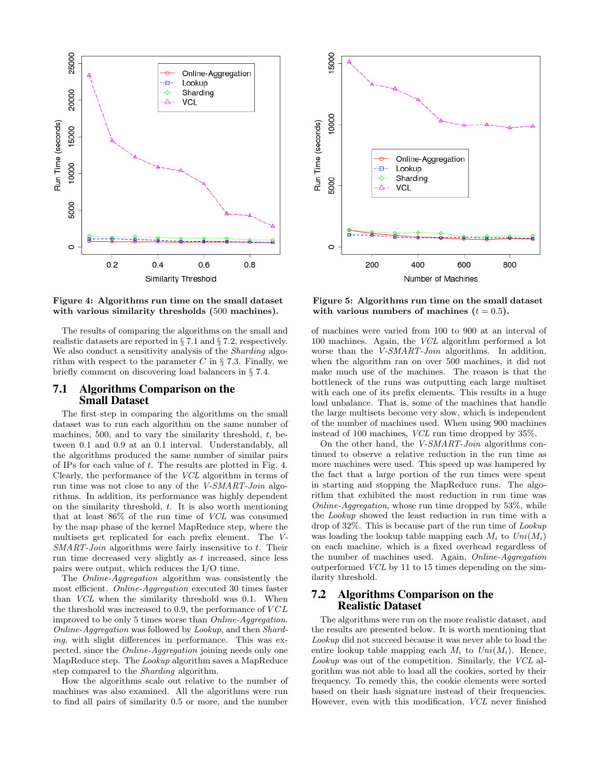



**Figure 4: Algorithms run time on the small dataset with various similarity thresholds (**500 **machines).**

The results of comparing the algorithms on the small and realistic datasets are reported in § 7.1 and § 7.2, respectively. We also conduct a sensitivity analysis of the *Sharding* algorithm with respect to the parameter  $C$  in  $\S 7.3$ . Finally, we briefly comment on discovering load balancers in § 7.4.

## **7.1 Algorithms Comparison on the Small Dataset**

The first step in comparing the algorithms on the small dataset was to run each algorithm on the same number of machines, 500, and to vary the similarity threshold, *t*, between 0*.*1 and 0*.*9 at an 0*.*1 interval. Understandably, all the algorithms produced the same number of similar pairs of IPs for each value of *t*. The results are plotted in Fig. 4. Clearly, the performance of the VCL algorithm in terms of run time was not close to any of the V-SMART-Join algorithms. In addition, its performance was highly dependent on the similarity threshold, *t*. It is also worth mentioning that at least 86% of the run time of VCL was consumed by the map phase of the kernel MapReduce step, where the multisets get replicated for each prefix element. The V-SMART-Join algorithms were fairly insensitive to *t*. Their run time decreased very slightly as *t* increased, since less pairs were output, which reduces the I/O time.

The Online-Aggregation algorithm was consistently the most efficient. Online-Aggregation executed 30 times faster than VCL when the similarity threshold was 0*.*1. When the threshold was increased to 0*.*9, the performance of *V CL* improved to be only 5 times worse than Online-Aggregation. Online-Aggregation was followed by Lookup, and then Sharding, with slight differences in performance. This was expected, since the Online-Aggregation joining needs only one MapReduce step. The Lookup algorithm saves a MapReduce step compared to the Sharding algorithm.

How the algorithms scale out relative to the number of machines was also examined. All the algorithms were run to find all pairs of similarity 0*.*5 or more, and the number

**Figure 5: Algorithms run time on the small dataset** with various numbers of machines  $(t = 0.5)$ .

of machines were varied from 100 to 900 at an interval of 100 machines. Again, the VCL algorithm performed a lot worse than the V-SMART-Join algorithms. In addition, when the algorithm ran on over 500 machines, it did not make much use of the machines. The reason is that the bottleneck of the runs was outputting each large multiset with each one of its prefix elements. This results in a huge load unbalance. That is, some of the machines that handle the large multisets become very slow, which is independent of the number of machines used. When using 900 machines instead of 100 machines, VCL run time dropped by 35%.

On the other hand, the V-SMART-Join algorithms continued to observe a relative reduction in the run time as more machines were used. This speed up was hampered by the fact that a large portion of the run times were spent in starting and stopping the MapReduce runs. The algorithm that exhibited the most reduction in run time was Online-Aggregation, whose run time dropped by 53%, while the Lookup showed the least reduction in run time with a drop of 32%. This is because part of the run time of Lookup was loading the lookup table mapping each  $M_i$  to  $Uni(M_i)$ on each machine, which is a fixed overhead regardless of the number of machines used. Again, Online-Aggregation outperformed VCL by 11 to 15 times depending on the similarity threshold.

## **7.2 Algorithms Comparison on the Realistic Dataset**

The algorithms were run on the more realistic dataset, and the results are presented below. It is worth mentioning that Lookup did not succeed because it was never able to load the entire lookup table mapping each  $M_i$  to  $Uni(M_i)$ . Hence, Lookup was out of the competition. Similarly, the VCL algorithm was not able to load all the cookies, sorted by their frequency. To remedy this, the cookie elements were sorted based on their hash signature instead of their frequencies. However, even with this modification, VCL never finished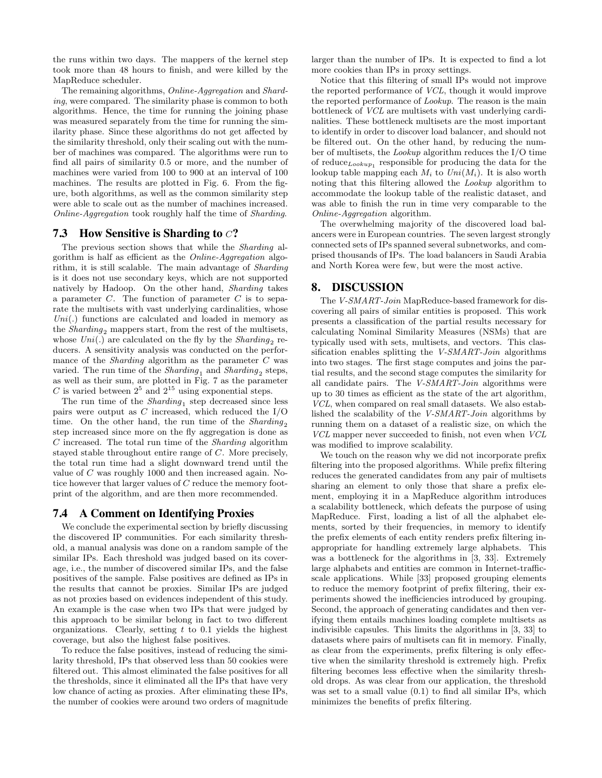the runs within two days. The mappers of the kernel step took more than 48 hours to finish, and were killed by the MapReduce scheduler.

The remaining algorithms, Online-Aggregation and Sharding, were compared. The similarity phase is common to both algorithms. Hence, the time for running the joining phase was measured separately from the time for running the similarity phase. Since these algorithms do not get affected by the similarity threshold, only their scaling out with the number of machines was compared. The algorithms were run to find all pairs of similarity 0*.*5 or more, and the number of machines were varied from 100 to 900 at an interval of 100 machines. The results are plotted in Fig. 6. From the figure, both algorithms, as well as the common similarity step were able to scale out as the number of machines increased. Online-Aggregation took roughly half the time of Sharding.

## **7.3 How Sensitive is Sharding to** *C***?**

The previous section shows that while the Sharding algorithm is half as efficient as the Online-Aggregation algorithm, it is still scalable. The main advantage of Sharding is it does not use secondary keys, which are not supported natively by Hadoop. On the other hand, Sharding takes a parameter *C*. The function of parameter *C* is to separate the multisets with vast underlying cardinalities, whose Uni(*.*) functions are calculated and loaded in memory as the Sharding<sub>2</sub> mappers start, from the rest of the multisets, whose  $Uni(.)$  are calculated on the fly by the *Sharding*, reducers. A sensitivity analysis was conducted on the performance of the Sharding algorithm as the parameter *C* was varied. The run time of the Sharding<sub>1</sub> and Sharding<sub>2</sub> steps, as well as their sum, are plotted in Fig. 7 as the parameter  $C$  is varied between  $2^5$  and  $2^{15}$  using exponential steps.

The run time of the  $Sharding_1$  step decreased since less pairs were output as *C* increased, which reduced the I/O time. On the other hand, the run time of the  $Sharding_2$ step increased since more on the fly aggregation is done as *C* increased. The total run time of the Sharding algorithm stayed stable throughout entire range of *C*. More precisely, the total run time had a slight downward trend until the value of *C* was roughly 1000 and then increased again. Notice however that larger values of *C* reduce the memory footprint of the algorithm, and are then more recommended.

#### **7.4 A Comment on Identifying Proxies**

We conclude the experimental section by briefly discussing the discovered IP communities. For each similarity threshold, a manual analysis was done on a random sample of the similar IPs. Each threshold was judged based on its coverage, i.e., the number of discovered similar IPs, and the false positives of the sample. False positives are defined as IPs in the results that cannot be proxies. Similar IPs are judged as not proxies based on evidences independent of this study. An example is the case when two IPs that were judged by this approach to be similar belong in fact to two different organizations. Clearly, setting *t* to 0*.*1 yields the highest coverage, but also the highest false positives.

To reduce the false positives, instead of reducing the similarity threshold, IPs that observed less than 50 cookies were filtered out. This almost eliminated the false positives for all the thresholds, since it eliminated all the IPs that have very low chance of acting as proxies. After eliminating these IPs, the number of cookies were around two orders of magnitude larger than the number of IPs. It is expected to find a lot more cookies than IPs in proxy settings.

Notice that this filtering of small IPs would not improve the reported performance of VCL, though it would improve the reported performance of Lookup. The reason is the main bottleneck of VCL are multisets with vast underlying cardinalities. These bottleneck multisets are the most important to identify in order to discover load balancer, and should not be filtered out. On the other hand, by reducing the number of multisets, the Lookup algorithm reduces the I/O time of reduce*Lookup*<sup>1</sup> responsible for producing the data for the lookup table mapping each  $M_i$  to  $Uni(M_i)$ . It is also worth noting that this filtering allowed the Lookup algorithm to accommodate the lookup table of the realistic dataset, and was able to finish the run in time very comparable to the Online-Aggregation algorithm.

The overwhelming majority of the discovered load balancers were in European countries. The seven largest strongly connected sets of IPs spanned several subnetworks, and comprised thousands of IPs. The load balancers in Saudi Arabia and North Korea were few, but were the most active.

## **8. DISCUSSION**

The V-SMART-Join MapReduce-based framework for discovering all pairs of similar entities is proposed. This work presents a classification of the partial results necessary for calculating Nominal Similarity Measures (NSMs) that are typically used with sets, multisets, and vectors. This classification enables splitting the V-SMART-Join algorithms into two stages. The first stage computes and joins the partial results, and the second stage computes the similarity for all candidate pairs. The V-SMART-Join algorithms were up to 30 times as efficient as the state of the art algorithm, VCL, when compared on real small datasets. We also established the scalability of the V-SMART-Join algorithms by running them on a dataset of a realistic size, on which the VCL mapper never succeeded to finish, not even when VCL was modified to improve scalability.

We touch on the reason why we did not incorporate prefix filtering into the proposed algorithms. While prefix filtering reduces the generated candidates from any pair of multisets sharing an element to only those that share a prefix element, employing it in a MapReduce algorithm introduces a scalability bottleneck, which defeats the purpose of using MapReduce. First, loading a list of all the alphabet elements, sorted by their frequencies, in memory to identify the prefix elements of each entity renders prefix filtering inappropriate for handling extremely large alphabets. This was a bottleneck for the algorithms in [3, 33]. Extremely large alphabets and entities are common in Internet-trafficscale applications. While [33] proposed grouping elements to reduce the memory footprint of prefix filtering, their experiments showed the inefficiencies introduced by grouping. Second, the approach of generating candidates and then verifying them entails machines loading complete multisets as indivisible capsules. This limits the algorithms in [3, 33] to datasets where pairs of multisets can fit in memory. Finally, as clear from the experiments, prefix filtering is only effective when the similarity threshold is extremely high. Prefix filtering becomes less effective when the similarity threshold drops. As was clear from our application, the threshold was set to a small value (0*.*1) to find all similar IPs, which minimizes the benefits of prefix filtering.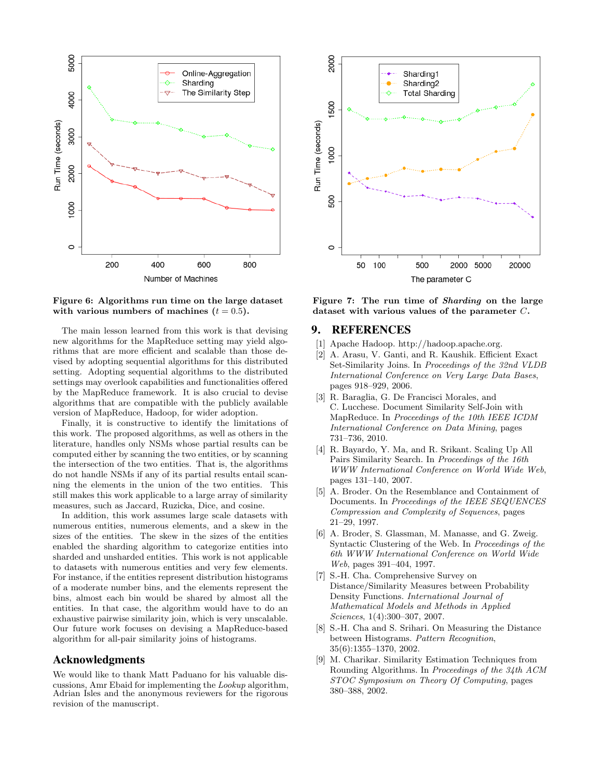

**Figure 6: Algorithms run time on the large dataset** with various numbers of machines  $(t = 0.5)$ .

The main lesson learned from this work is that devising new algorithms for the MapReduce setting may yield algorithms that are more efficient and scalable than those devised by adopting sequential algorithms for this distributed setting. Adopting sequential algorithms to the distributed settings may overlook capabilities and functionalities offered by the MapReduce framework. It is also crucial to devise algorithms that are compatible with the publicly available version of MapReduce, Hadoop, for wider adoption.

Finally, it is constructive to identify the limitations of this work. The proposed algorithms, as well as others in the literature, handles only NSMs whose partial results can be computed either by scanning the two entities, or by scanning the intersection of the two entities. That is, the algorithms do not handle NSMs if any of its partial results entail scanning the elements in the union of the two entities. This still makes this work applicable to a large array of similarity measures, such as Jaccard, Ruzicka, Dice, and cosine.

In addition, this work assumes large scale datasets with numerous entities, numerous elements, and a skew in the sizes of the entities. The skew in the sizes of the entities enabled the sharding algorithm to categorize entities into sharded and unsharded entities. This work is not applicable to datasets with numerous entities and very few elements. For instance, if the entities represent distribution histograms of a moderate number bins, and the elements represent the bins, almost each bin would be shared by almost all the entities. In that case, the algorithm would have to do an exhaustive pairwise similarity join, which is very unscalable. Our future work focuses on devising a MapReduce-based algorithm for all-pair similarity joins of histograms.

#### **Acknowledgments**

We would like to thank Matt Paduano for his valuable discussions, Amr Ebaid for implementing the Lookup algorithm, Adrian Isles and the anonymous reviewers for the rigorous revision of the manuscript.



**Figure 7: The run time of** *Sharding* **on the large dataset with various values of the parameter** *C***.**

## **9. REFERENCES**

- [1] Apache Hadoop. http://hadoop.apache.org.
- [2] A. Arasu, V. Ganti, and R. Kaushik. Efficient Exact Set-Similarity Joins. In Proceedings of the 32nd VLDB International Conference on Very Large Data Bases, pages 918–929, 2006.
- [3] R. Baraglia, G. De Francisci Morales, and C. Lucchese. Document Similarity Self-Join with MapReduce. In Proceedings of the 10th IEEE ICDM International Conference on Data Mining, pages 731–736, 2010.
- [4] R. Bayardo, Y. Ma, and R. Srikant. Scaling Up All Pairs Similarity Search. In Proceedings of the 16th WWW International Conference on World Wide Web, pages 131–140, 2007.
- [5] A. Broder. On the Resemblance and Containment of Documents. In Proceedings of the IEEE SEQUENCES Compression and Complexity of Sequences, pages 21–29, 1997.
- [6] A. Broder, S. Glassman, M. Manasse, and G. Zweig. Syntactic Clustering of the Web. In Proceedings of the 6th WWW International Conference on World Wide Web, pages 391–404, 1997.
- [7] S.-H. Cha. Comprehensive Survey on Distance/Similarity Measures between Probability Density Functions. International Journal of Mathematical Models and Methods in Applied Sciences, 1(4):300–307, 2007.
- [8] S.-H. Cha and S. Srihari. On Measuring the Distance between Histograms. Pattern Recognition, 35(6):1355–1370, 2002.
- [9] M. Charikar. Similarity Estimation Techniques from Rounding Algorithms. In Proceedings of the 34th ACM STOC Symposium on Theory Of Computing, pages 380–388, 2002.